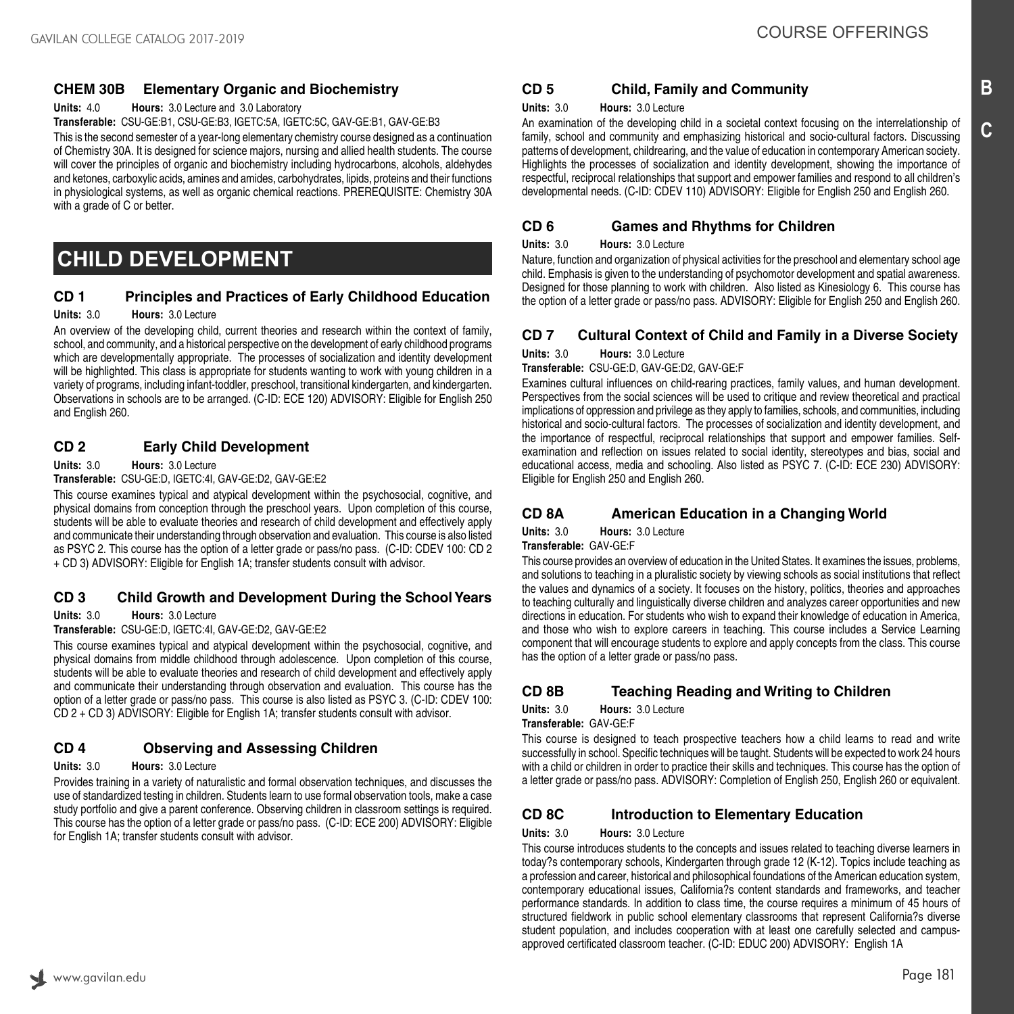# **CHEM 30B Elementary Organic and Biochemistry**

**Units:** 4.0 **Hours:** 3.0 Lecture and 3.0 Laboratory

**Transferable:** CSU-GE:B1, CSU-GE:B3, IGETC:5A, IGETC:5C, GAV-GE:B1, GAV-GE:B3

This is the second semester of a year-long elementary chemistry course designed as a continuation of Chemistry 30A. It is designed for science majors, nursing and allied health students. The course will cover the principles of organic and biochemistry including hydrocarbons, alcohols, aldehydes and ketones, carboxylic acids, amines and amides, carbohydrates, lipids, proteins and their functions in physiological systems, as well as organic chemical reactions. PREREQUISITE: Chemistry 30A with a grade of C or better.

# **CHILD DEVELOPMENT**

# **CD 1 Principles and Practices of Early Childhood Education**

#### **Units:** 3.0 **Hours:** 3.0 Lecture

An overview of the developing child, current theories and research within the context of family, school, and community, and a historical perspective on the development of early childhood programs which are developmentally appropriate. The processes of socialization and identity development will be highlighted. This class is appropriate for students wanting to work with young children in a variety of programs, including infant-toddler, preschool, transitional kindergarten, and kindergarten. Observations in schools are to be arranged. (C-ID: ECE 120) ADVISORY: Eligible for English 250 and English 260.

## **CD 2 Early Child Development**

**Units:** 3.0 **Hours:** 3.0 Lecture

**Transferable:** CSU-GE:D, IGETC:4I, GAV-GE:D2, GAV-GE:E2

This course examines typical and atypical development within the psychosocial, cognitive, and physical domains from conception through the preschool years. Upon completion of this course, students will be able to evaluate theories and research of child development and effectively apply and communicate their understanding through observation and evaluation. This course is also listed as PSYC 2. This course has the option of a letter grade or pass/no pass. (C-ID: CDEV 100: CD 2 + CD 3) ADVISORY: Eligible for English 1A; transfer students consult with advisor.

## **CD 3 Child Growth and Development During the School Years**

**Units:** 3.0 **Hours:** 3.0 Lecture

**Transferable:** CSU-GE:D, IGETC:4I, GAV-GE:D2, GAV-GE:E2

This course examines typical and atypical development within the psychosocial, cognitive, and physical domains from middle childhood through adolescence. Upon completion of this course, students will be able to evaluate theories and research of child development and effectively apply and communicate their understanding through observation and evaluation. This course has the option of a letter grade or pass/no pass. This course is also listed as PSYC 3. (C-ID: CDEV 100: CD 2 + CD 3) ADVISORY: Eligible for English 1A; transfer students consult with advisor.

# **CD 4 Observing and Assessing Children**

#### **Units:** 3.0 **Hours:** 3.0 Lecture

Provides training in a variety of naturalistic and formal observation techniques, and discusses the use of standardized testing in children. Students learn to use formal observation tools, make a case study portfolio and give a parent conference. Observing children in classroom settings is required. This course has the option of a letter grade or pass/no pass. (C-ID: ECE 200) ADVISORY: Eligible for English 1A; transfer students consult with advisor.

# **CD 5 Child, Family and Community**

#### **Units:** 3.0 **Hours:** 3.0 Lecture

An examination of the developing child in a societal context focusing on the interrelationship of family, school and community and emphasizing historical and socio-cultural factors. Discussing patterns of development, childrearing, and the value of education in contemporary American society. Highlights the processes of socialization and identity development, showing the importance of respectful, reciprocal relationships that support and empower families and respond to all children's developmental needs. (C-ID: CDEV 110) ADVISORY: Eligible for English 250 and English 260.

## **CD 6 Games and Rhythms for Children**

#### **Units:** 3.0 **Hours:** 3.0 Lecture

Nature, function and organization of physical activities for the preschool and elementary school age child. Emphasis is given to the understanding of psychomotor development and spatial awareness. Designed for those planning to work with children. Also listed as Kinesiology 6. This course has the option of a letter grade or pass/no pass. ADVISORY: Eligible for English 250 and English 260.

## **CD 7 Cultural Context of Child and Family in a Diverse Society**

**Units:** 3.0 **Hours:** 3.0 Lecture

**Transferable:** CSU-GE:D, GAV-GE:D2, GAV-GE:F

Examines cultural influences on child-rearing practices, family values, and human development. Perspectives from the social sciences will be used to critique and review theoretical and practical implications of oppression and privilege as they apply to families, schools, and communities, including historical and socio-cultural factors. The processes of socialization and identity development, and the importance of respectful, reciprocal relationships that support and empower families. Selfexamination and reflection on issues related to social identity, stereotypes and bias, social and educational access, media and schooling. Also listed as PSYC 7. (C-ID: ECE 230) ADVISORY: Eligible for English 250 and English 260.

# **CD 8A American Education in a Changing World**

**Units:** 3.0 **Hours:** 3.0 Lecture **Transferable:** GAV-GE:F

This course provides an overview of education in the United States. It examines the issues, problems, and solutions to teaching in a pluralistic society by viewing schools as social institutions that reflect the values and dynamics of a society. It focuses on the history, politics, theories and approaches to teaching culturally and linguistically diverse children and analyzes career opportunities and new directions in education. For students who wish to expand their knowledge of education in America, and those who wish to explore careers in teaching. This course includes a Service Learning component that will encourage students to explore and apply concepts from the class. This course has the option of a letter grade or pass/no pass.

# **CD 8B Teaching Reading and Writing to Children**

**Units:** 3.0 **Hours:** 3.0 Lecture

**Transferable:** GAV-GE:F

This course is designed to teach prospective teachers how a child learns to read and write successfully in school. Specific techniques will be taught. Students will be expected to work 24 hours with a child or children in order to practice their skills and techniques. This course has the option of a letter grade or pass/no pass. ADVISORY: Completion of English 250, English 260 or equivalent.

# **CD 8C Introduction to Elementary Education**

**Units:** 3.0 **Hours:** 3.0 Lecture

This course introduces students to the concepts and issues related to teaching diverse learners in today?s contemporary schools, Kindergarten through grade 12 (K-12). Topics include teaching as a profession and career, historical and philosophical foundations of the American education system, contemporary educational issues, California?s content standards and frameworks, and teacher performance standards. In addition to class time, the course requires a minimum of 45 hours of structured fieldwork in public school elementary classrooms that represent California?s diverse student population, and includes cooperation with at least one carefully selected and campusapproved certificated classroom teacher. (C-ID: EDUC 200) ADVISORY: English 1A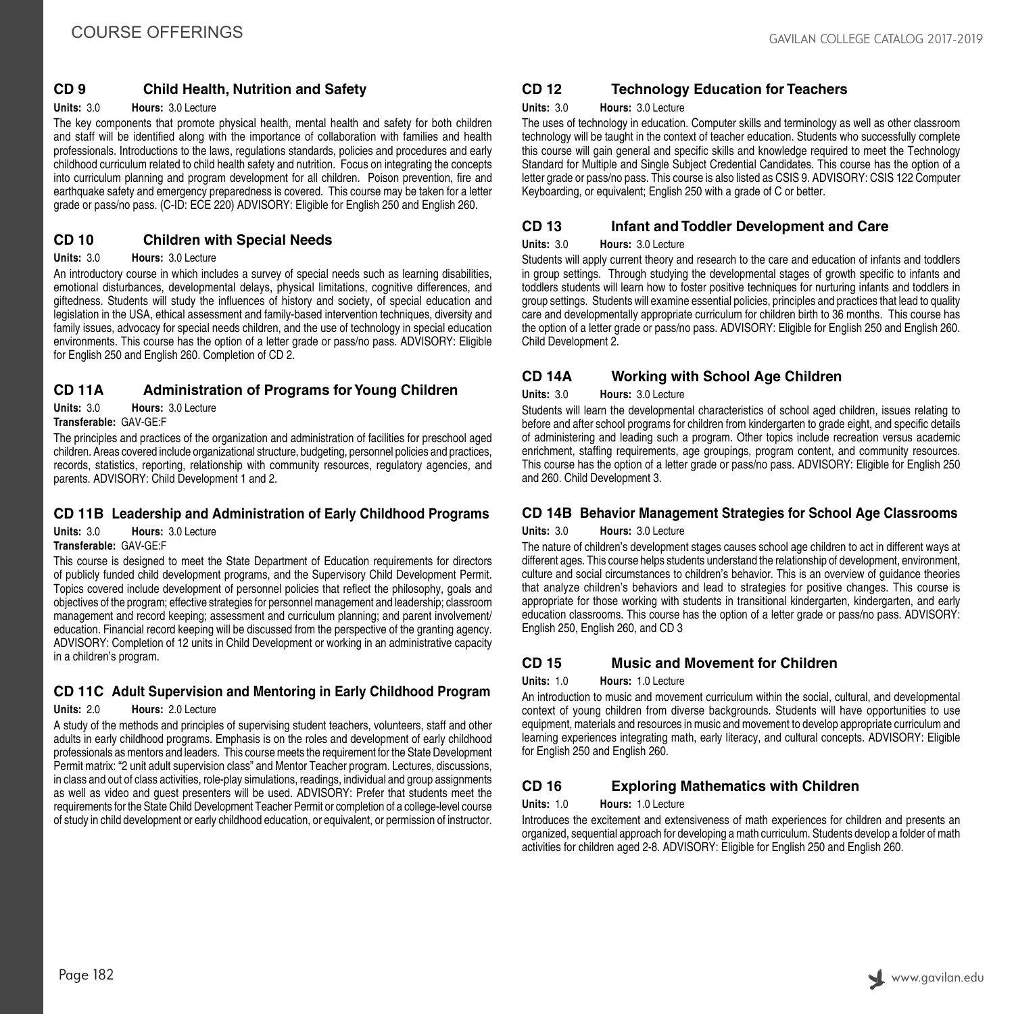# **CD 9 Child Health, Nutrition and Safety**

#### **Units:** 3.0 **Hours:** 3.0 Lecture

The key components that promote physical health, mental health and safety for both children and staff will be identified along with the importance of collaboration with families and health professionals. Introductions to the laws, regulations standards, policies and procedures and early childhood curriculum related to child health safety and nutrition. Focus on integrating the concepts into curriculum planning and program development for all children. Poison prevention, fire and earthquake safety and emergency preparedness is covered. This course may be taken for a letter grade or pass/no pass. (C-ID: ECE 220) ADVISORY: Eligible for English 250 and English 260.

## **CD 10 Children with Special Needs**

#### **Units:** 3.0 **Hours:** 3.0 Lecture

An introductory course in which includes a survey of special needs such as learning disabilities, emotional disturbances, developmental delays, physical limitations, cognitive differences, and giftedness. Students will study the influences of history and society, of special education and legislation in the USA, ethical assessment and family-based intervention techniques, diversity and family issues, advocacy for special needs children, and the use of technology in special education environments. This course has the option of a letter grade or pass/no pass. ADVISORY: Eligible for English 250 and English 260. Completion of CD 2.

# **CD 11A Administration of Programs for Young Children**

**Units:** 3.0 **Hours:** 3.0 Lecture

## **Transferable:** GAV-GE:F

The principles and practices of the organization and administration of facilities for preschool aged children. Areas covered include organizational structure, budgeting, personnel policies and practices, records, statistics, reporting, relationship with community resources, regulatory agencies, and parents. ADVISORY: Child Development 1 and 2.

## **CD 11B Leadership and Administration of Early Childhood Programs**

**Units:** 3.0 **Hours:** 3.0 Lecture **Transferable:** GAV-GE:F

This course is designed to meet the State Department of Education requirements for directors of publicly funded child development programs, and the Supervisory Child Development Permit. Topics covered include development of personnel policies that reflect the philosophy, goals and objectives of the program; effective strategies for personnel management and leadership; classroom management and record keeping; assessment and curriculum planning; and parent involvement/ education. Financial record keeping will be discussed from the perspective of the granting agency. ADVISORY: Completion of 12 units in Child Development or working in an administrative capacity in a children's program.

# **CD 11C Adult Supervision and Mentoring in Early Childhood Program**

#### **Units:** 2.0 **Hours:** 2.0 Lecture

A study of the methods and principles of supervising student teachers, volunteers, staff and other adults in early childhood programs. Emphasis is on the roles and development of early childhood professionals as mentors and leaders. This course meets the requirement for the State Development Permit matrix: "2 unit adult supervision class" and Mentor Teacher program. Lectures, discussions, in class and out of class activities, role-play simulations, readings, individual and group assignments as well as video and guest presenters will be used. ADVISORY: Prefer that students meet the requirements for the State Child Development Teacher Permit or completion of a college-level course of study in child development or early childhood education, or equivalent, or permission of instructor.

# **CD 12 Technology Education for Teachers**

#### **Units:** 3.0 **Hours:** 3.0 Lecture

The uses of technology in education. Computer skills and terminology as well as other classroom technology will be taught in the context of teacher education. Students who successfully complete this course will gain general and specific skills and knowledge required to meet the Technology Standard for Multiple and Single Subject Credential Candidates. This course has the option of a letter grade or pass/no pass. This course is also listed as CSIS 9. ADVISORY: CSIS 122 Computer Keyboarding, or equivalent; English 250 with a grade of C or better.

## **CD 13 Infant and Toddler Development and Care**

#### **Units:** 3.0 **Hours:** 3.0 Lecture

Students will apply current theory and research to the care and education of infants and toddlers in group settings. Through studying the developmental stages of growth specific to infants and toddlers students will learn how to foster positive techniques for nurturing infants and toddlers in group settings. Students will examine essential policies, principles and practices that lead to quality care and developmentally appropriate curriculum for children birth to 36 months. This course has the option of a letter grade or pass/no pass. ADVISORY: Eligible for English 250 and English 260. Child Development 2.

## **CD 14A Working with School Age Children**

#### **Units:** 3.0 **Hours:** 3.0 Lecture

Students will learn the developmental characteristics of school aged children, issues relating to before and after school programs for children from kindergarten to grade eight, and specific details of administering and leading such a program. Other topics include recreation versus academic enrichment, staffing requirements, age groupings, program content, and community resources. This course has the option of a letter grade or pass/no pass. ADVISORY: Eligible for English 250 and 260. Child Development 3.

# **CD 14B Behavior Management Strategies for School Age Classrooms**

#### **Units:** 3.0 **Hours:** 3.0 Lecture

The nature of children's development stages causes school age children to act in different ways at different ages. This course helps students understand the relationship of development, environment, culture and social circumstances to children's behavior. This is an overview of guidance theories that analyze children's behaviors and lead to strategies for positive changes. This course is appropriate for those working with students in transitional kindergarten, kindergarten, and early education classrooms. This course has the option of a letter grade or pass/no pass. ADVISORY: English 250, English 260, and CD 3

## **CD 15 Music and Movement for Children**

#### **Units:** 1.0 **Hours:** 1.0 Lecture

An introduction to music and movement curriculum within the social, cultural, and developmental context of young children from diverse backgrounds. Students will have opportunities to use equipment, materials and resources in music and movement to develop appropriate curriculum and learning experiences integrating math, early literacy, and cultural concepts. ADVISORY: Eligible for English 250 and English 260.

# **CD 16 Exploring Mathematics with Children**

**Units:** 1.0 **Hours:** 1.0 Lecture

Introduces the excitement and extensiveness of math experiences for children and presents an organized, sequential approach for developing a math curriculum. Students develop a folder of math activities for children aged 2-8. ADVISORY: Eligible for English 250 and English 260.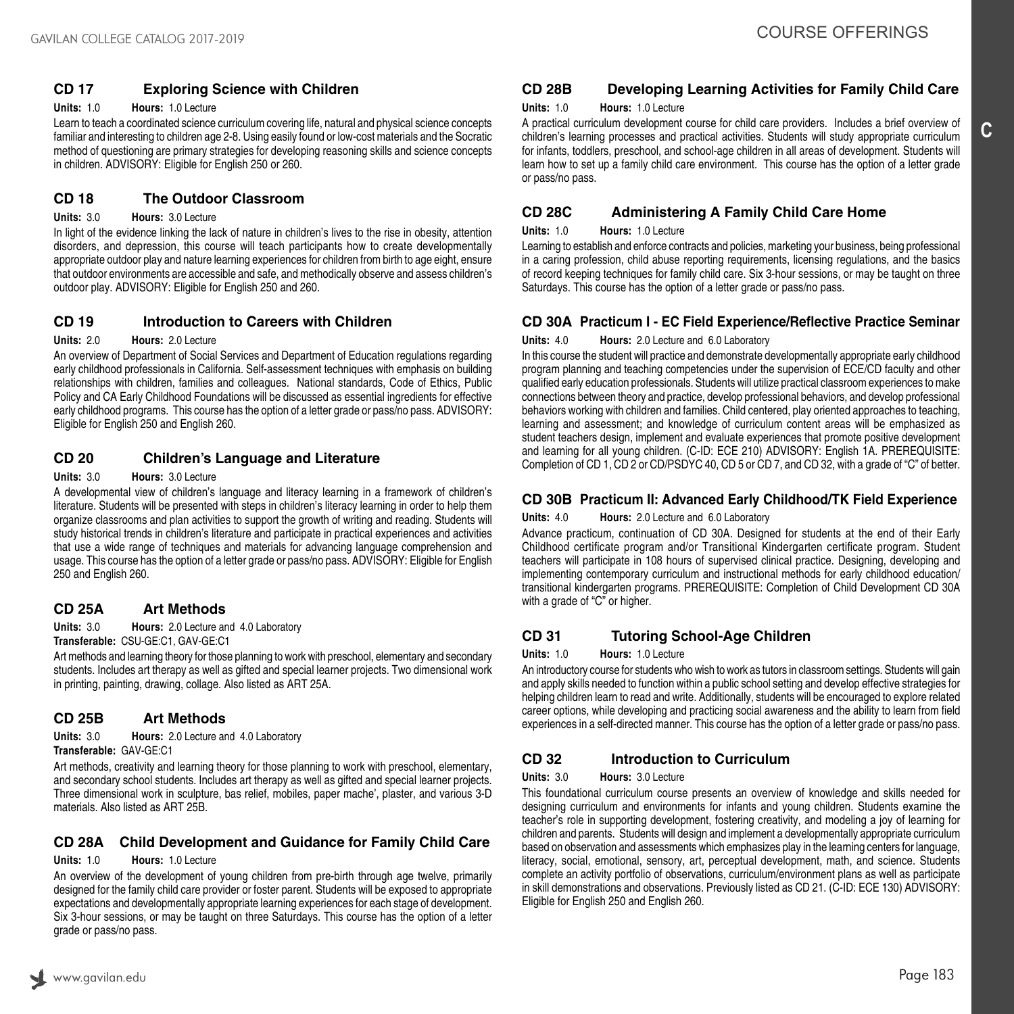# **CD 17 Exploring Science with Children**

**Units:** 1.0 **Hours:** 1.0 Lecture

Learn to teach a coordinated science curriculum covering life, natural and physical science concepts familiar and interesting to children age 2-8. Using easily found or low-cost materials and the Socratic method of questioning are primary strategies for developing reasoning skills and science concepts in children. ADVISORY: Eligible for English 250 or 260.

## **CD 18 The Outdoor Classroom**

#### **Units:** 3.0 **Hours:** 3.0 Lecture

In light of the evidence linking the lack of nature in children's lives to the rise in obesity, attention disorders, and depression, this course will teach participants how to create developmentally appropriate outdoor play and nature learning experiences for children from birth to age eight, ensure that outdoor environments are accessible and safe, and methodically observe and assess children's outdoor play. ADVISORY: Eligible for English 250 and 260.

## **CD 19 Introduction to Careers with Children**

#### **Units:** 2.0 **Hours:** 2.0 Lecture

An overview of Department of Social Services and Department of Education regulations regarding early childhood professionals in California. Self-assessment techniques with emphasis on building relationships with children, families and colleagues. National standards, Code of Ethics, Public Policy and CA Early Childhood Foundations will be discussed as essential ingredients for effective early childhood programs. This course has the option of a letter grade or pass/no pass. ADVISORY: Eligible for English 250 and English 260.

## **CD 20 Children's Language and Literature**

#### **Units:** 3.0 **Hours:** 3.0 Lecture

A developmental view of children's language and literacy learning in a framework of children's literature. Students will be presented with steps in children's literacy learning in order to help them organize classrooms and plan activities to support the growth of writing and reading. Students will study historical trends in children's literature and participate in practical experiences and activities that use a wide range of techniques and materials for advancing language comprehension and usage. This course has the option of a letter grade or pass/no pass. ADVISORY: Eligible for English 250 and English 260.

## **CD 25A Art Methods**

**Units:** 3.0 **Hours:** 2.0 Lecture and 4.0 Laboratory

**Transferable:** CSU-GE:C1, GAV-GE:C1

Art methods and learning theory for those planning to work with preschool, elementary and secondary students. Includes art therapy as well as gifted and special learner projects. Two dimensional work in printing, painting, drawing, collage. Also listed as ART 25A.

## **CD 25B Art Methods**

**Units:** 3.0 **Hours:** 2.0 Lecture and 4.0 Laboratory **Transferable:** GAV-GE:C1

Art methods, creativity and learning theory for those planning to work with preschool, elementary, and secondary school students. Includes art therapy as well as gifted and special learner projects. Three dimensional work in sculpture, bas relief, mobiles, paper mache', plaster, and various 3-D materials. Also listed as ART 25B.

## **CD 28A Child Development and Guidance for Family Child Care**

#### **Units:** 1.0 **Hours:** 1.0 Lecture

An overview of the development of young children from pre-birth through age twelve, primarily designed for the family child care provider or foster parent. Students will be exposed to appropriate expectations and developmentally appropriate learning experiences for each stage of development. Six 3-hour sessions, or may be taught on three Saturdays. This course has the option of a letter grade or pass/no pass.

# **CD 28B Developing Learning Activities for Family Child Care**

#### **Units:** 1.0 **Hours:** 1.0 Lecture

A practical curriculum development course for child care providers. Includes a brief overview of children's learning processes and practical activities. Students will study appropriate curriculum for infants, toddlers, preschool, and school-age children in all areas of development. Students will learn how to set up a family child care environment. This course has the option of a letter grade or pass/no pass.

## **CD 28C Administering A Family Child Care Home**

#### **Units:** 1.0 **Hours:** 1.0 Lecture

Learning to establish and enforce contracts and policies, marketing your business, being professional in a caring profession, child abuse reporting requirements, licensing regulations, and the basics of record keeping techniques for family child care. Six 3-hour sessions, or may be taught on three Saturdays. This course has the option of a letter grade or pass/no pass.

# **CD 30A Practicum I - EC Field Experience/Reflective Practice Seminar**

### **Units:** 4.0 **Hours:** 2.0 Lecture and 6.0 Laboratory

In this course the student will practice and demonstrate developmentally appropriate early childhood program planning and teaching competencies under the supervision of ECE/CD faculty and other qualified early education professionals. Students will utilize practical classroom experiences to make connections between theory and practice, develop professional behaviors, and develop professional behaviors working with children and families. Child centered, play oriented approaches to teaching, learning and assessment; and knowledge of curriculum content areas will be emphasized as student teachers design, implement and evaluate experiences that promote positive development and learning for all young children. (C-ID: ECE 210) ADVISORY: English 1A. PREREQUISITE: Completion of CD 1, CD 2 or CD/PSDYC 40, CD 5 or CD 7, and CD 32, with a grade of "C" of better.

## **CD 30B Practicum II: Advanced Early Childhood/TK Field Experience**

#### **Units:** 4.0 **Hours:** 2.0 Lecture and 6.0 Laboratory

Advance practicum, continuation of CD 30A. Designed for students at the end of their Early Childhood certificate program and/or Transitional Kindergarten certificate program. Student teachers will participate in 108 hours of supervised clinical practice. Designing, developing and implementing contemporary curriculum and instructional methods for early childhood education/ transitional kindergarten programs. PREREQUISITE: Completion of Child Development CD 30A with a grade of "C" or higher.

## **CD 31 Tutoring School-Age Children**

#### **Units:** 1.0 **Hours:** 1.0 Lecture

An introductory course for students who wish to work as tutors in classroom settings. Students will gain and apply skills needed to function within a public school setting and develop effective strategies for helping children learn to read and write. Additionally, students will be encouraged to explore related career options, while developing and practicing social awareness and the ability to learn from field experiences in a self-directed manner. This course has the option of a letter grade or pass/no pass.

# **CD 32 Introduction to Curriculum**

#### **Units:** 3.0 **Hours:** 3.0 Lecture

This foundational curriculum course presents an overview of knowledge and skills needed for designing curriculum and environments for infants and young children. Students examine the teacher's role in supporting development, fostering creativity, and modeling a joy of learning for children and parents. Students will design and implement a developmentally appropriate curriculum based on observation and assessments which emphasizes play in the learning centers for language, literacy, social, emotional, sensory, art, perceptual development, math, and science. Students complete an activity portfolio of observations, curriculum/environment plans as well as participate in skill demonstrations and observations. Previously listed as CD 21. (C-ID: ECE 130) ADVISORY: Eligible for English 250 and English 260.